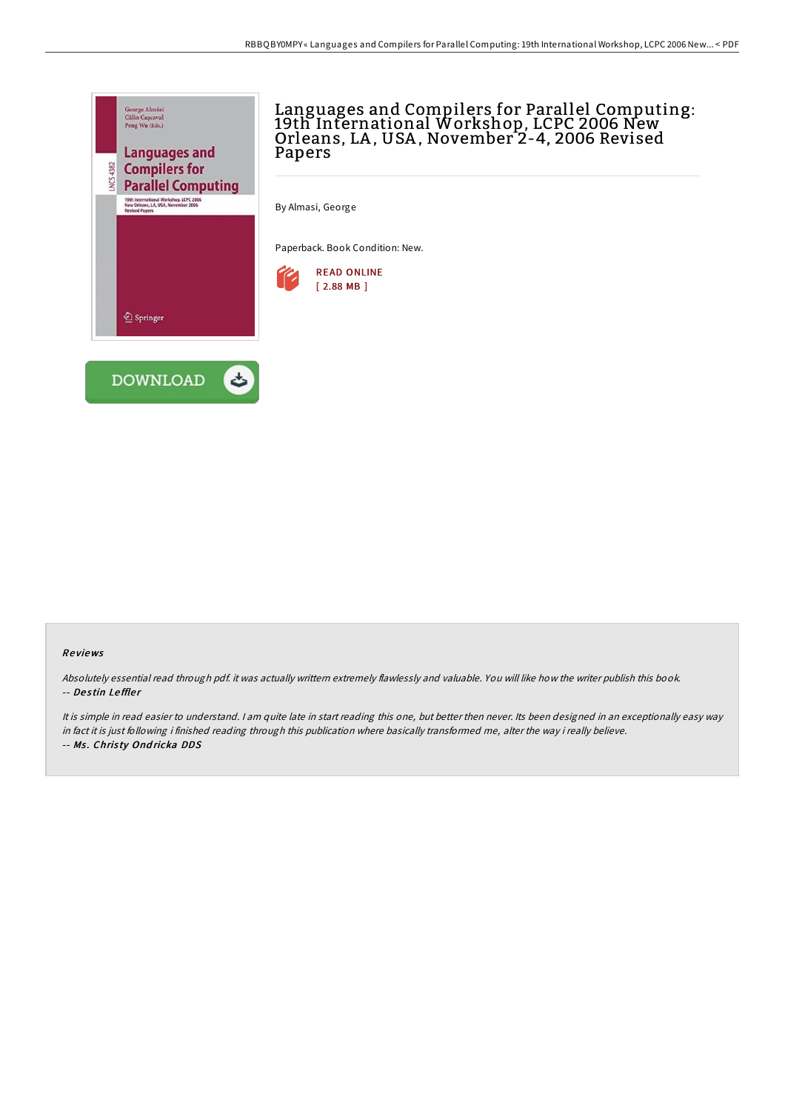

## Languages and Compilers for Parallel Computing: 19th International Workshop, LCPC 2006 New Orleans, LA, USA, November 2-4, 2006 Revised Papers

By Almasi, George

Paperback. Book Condition: New.



## Re views

Absolutely essential read through pdf. it was actually writtern extremely flawlessly and valuable. You will like how the writer publish this book. -- Destin Leffler

It is simple in read easier to understand. I am quite late in start reading this one, but better then never. Its been designed in an exceptionally easy way in fact it is just following i finished reading through this publication where basically transformed me, alter the way i really believe. -- Ms. Christy Ondricka DDS